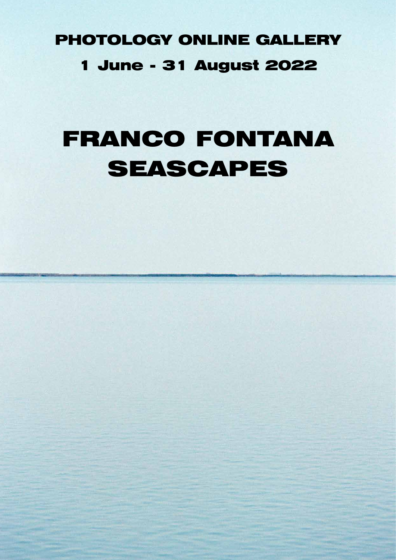## PHOTOLOGY ONLINE GALLERY 1 June - 31 August 2022

# FRANCO FONTANA SEASCAPES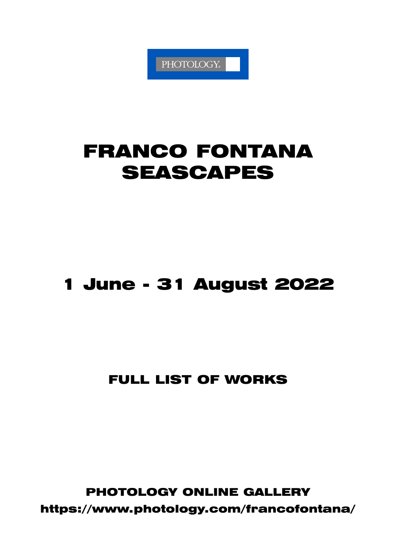PHOTOLOGY<sup>®</sup>

## FRANCO FONTANA SEASCAPES

#### 1 June - 31 August 2022

#### FULL LIST OF WORKS

PHOTOLOGY ONLINE GALLERY https://www.photology.com/francofontana/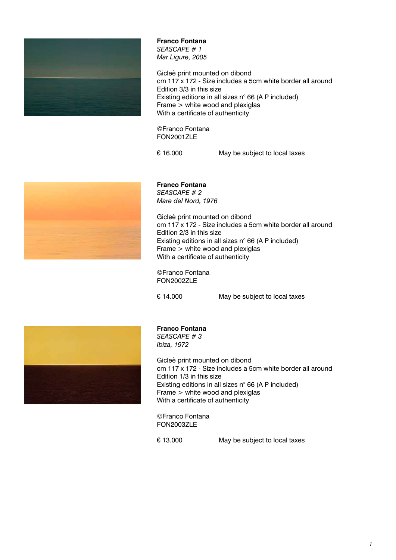

**Franco Fontana** *SEASCAPE # 1 Mar Ligure, 2005*

Gicleè print mounted on dibond cm 117 x 172 - Size includes a 5cm white border all around Edition 3/3 in this size Existing editions in all sizes n° 66 (A P included) Frame > white wood and plexiglas With a certificate of authenticity

©Franco Fontana FON2001ZLE

€ 16.000 May be subject to local taxes



**Franco Fontana** *SEASCAPE # 2 Mare del Nord, 1976*

Gicleè print mounted on dibond cm 117 x 172 - Size includes a 5cm white border all around Edition 2/3 in this size Existing editions in all sizes n° 66 (A P included) Frame > white wood and plexiglas With a certificate of authenticity

©Franco Fontana FON2002ZLE

€ 14.000 May be subject to local taxes



**Franco Fontana** *SEASCAPE # 3 Ibiza, 1972*

Gicleè print mounted on dibond cm 117 x 172 - Size includes a 5cm white border all around Edition 1/3 in this size Existing editions in all sizes n° 66 (A P included) Frame > white wood and plexiglas With a certificate of authenticity

©Franco Fontana FON2003ZLE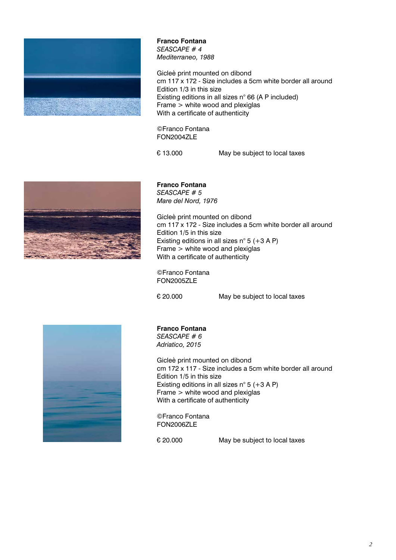

**Franco Fontana** *SEASCAPE # 4 Mediterraneo, 1988*

Gicleè print mounted on dibond cm 117 x 172 - Size includes a 5cm white border all around Edition 1/3 in this size Existing editions in all sizes n° 66 (A P included) Frame > white wood and plexiglas With a certificate of authenticity

©Franco Fontana FON2004ZLE

€ 13.000 May be subject to local taxes



**Franco Fontana** *SEASCAPE # 5 Mare del Nord, 1976*

Gicleè print mounted on dibond cm 117 x 172 - Size includes a 5cm white border all around Edition 1/5 in this size Existing editions in all sizes  $n^{\circ}$  5 (+3 A P) Frame > white wood and plexiglas With a certificate of authenticity

©Franco Fontana FON2005ZLE

€ 20.000 May be subject to local taxes



**Franco Fontana** *SEASCAPE # 6 Adriatico, 2015*

Gicleè print mounted on dibond cm 172 x 117 - Size includes a 5cm white border all around Edition 1/5 in this size Existing editions in all sizes  $n^{\circ}$  5 (+3 A P) Frame > white wood and plexiglas With a certificate of authenticity

©Franco Fontana FON2006ZLE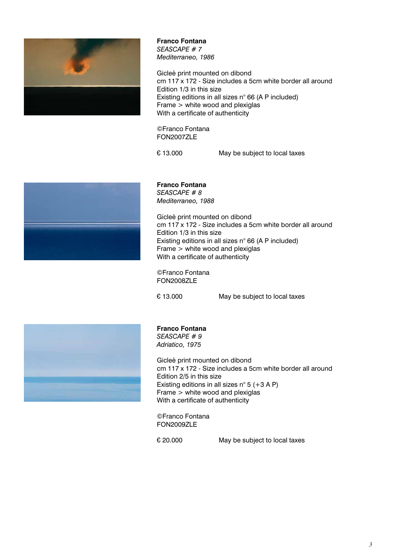

**Franco Fontana** *SEASCAPE # 7 Mediterraneo, 1986*

Gicleè print mounted on dibond cm 117 x 172 - Size includes a 5cm white border all around Edition 1/3 in this size Existing editions in all sizes n° 66 (A P included) Frame > white wood and plexiglas With a certificate of authenticity

©Franco Fontana FON2007ZLE

€ 13.000 May be subject to local taxes



**Franco Fontana** *SEASCAPE # 8 Mediterraneo, 1988*

Gicleè print mounted on dibond cm 117 x 172 - Size includes a 5cm white border all around Edition 1/3 in this size Existing editions in all sizes n° 66 (A P included) Frame > white wood and plexiglas With a certificate of authenticity

©Franco Fontana FON2008ZLE

€ 13.000 May be subject to local taxes



**Franco Fontana** *SEASCAPE # 9 Adriatico, 1975*

Gicleè print mounted on dibond cm 117 x 172 - Size includes a 5cm white border all around Edition 2/5 in this size Existing editions in all sizes  $n^{\circ}$  5 (+3 A P)

Frame > white wood and plexiglas With a certificate of authenticity

©Franco Fontana FON2009ZLE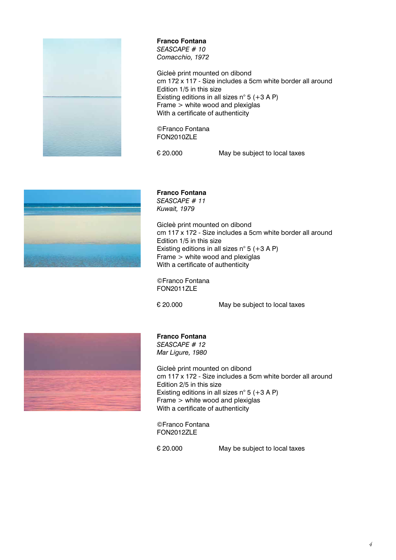

**Franco Fontana** *SEASCAPE # 10 Comacchio, 1972*

Gicleè print mounted on dibond cm 172 x 117 - Size includes a 5cm white border all around Edition 1/5 in this size Existing editions in all sizes  $n^{\circ}$  5 (+3 A P) Frame > white wood and plexiglas With a certificate of authenticity

©Franco Fontana FON2010ZLE

€ 20.000 May be subject to local taxes



**Franco Fontana** *SEASCAPE # 11 Kuwait, 1979*

Gicleè print mounted on dibond cm 117 x 172 - Size includes a 5cm white border all around Edition 1/5 in this size Existing editions in all sizes  $n^{\circ}$  5 (+3 A P) Frame > white wood and plexiglas With a certificate of authenticity

©Franco Fontana FON2011ZLE

€ 20.000 May be subject to local taxes



**Franco Fontana** *SEASCAPE # 12 Mar Ligure, 1980*

Gicleè print mounted on dibond cm 117 x 172 - Size includes a 5cm white border all around Edition 2/5 in this size Existing editions in all sizes  $n^{\circ}$  5 (+3 A P) Frame > white wood and plexiglas With a certificate of authenticity

©Franco Fontana FON2012ZLE